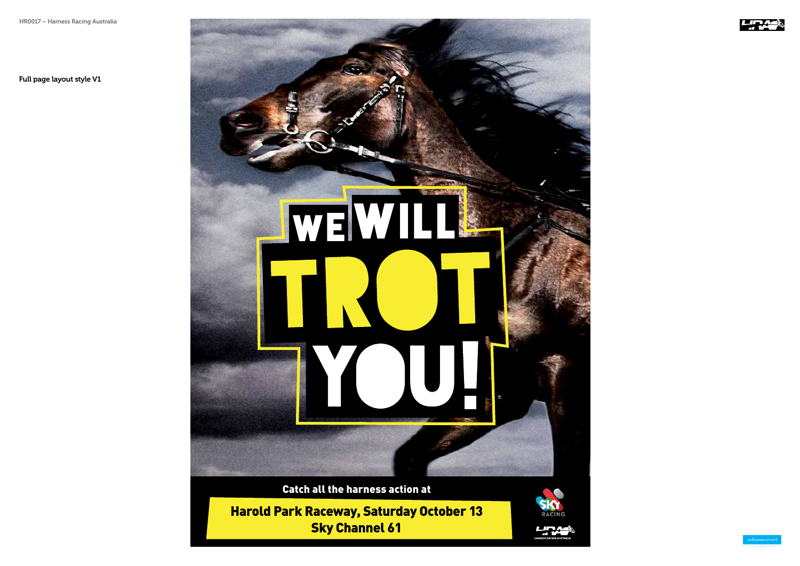Harold Park Raceway, Saturday October 13 Sky Channel 61





Full page layout style V1

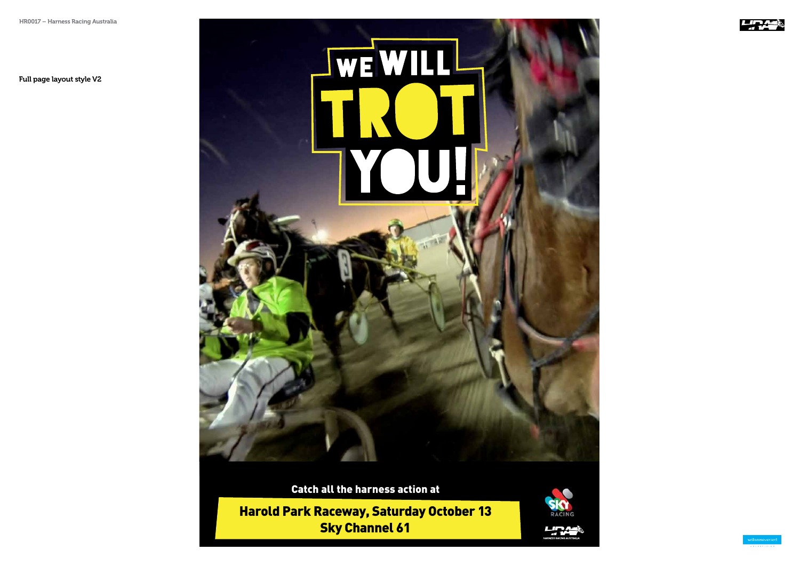Harold Park Raceway, Saturday October 13 Sky Channel 61



**LIRA** 



Full page layout style V2

## **WE WILL**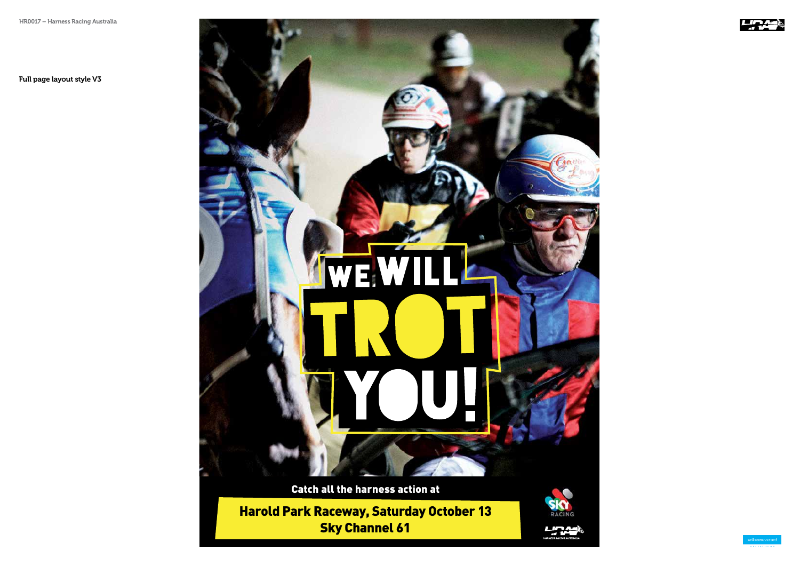Harold Park Raceway, Saturday October 13 Sky Channel 61



HAPNESS RACING AUSTRALIA



Full page layout style V3

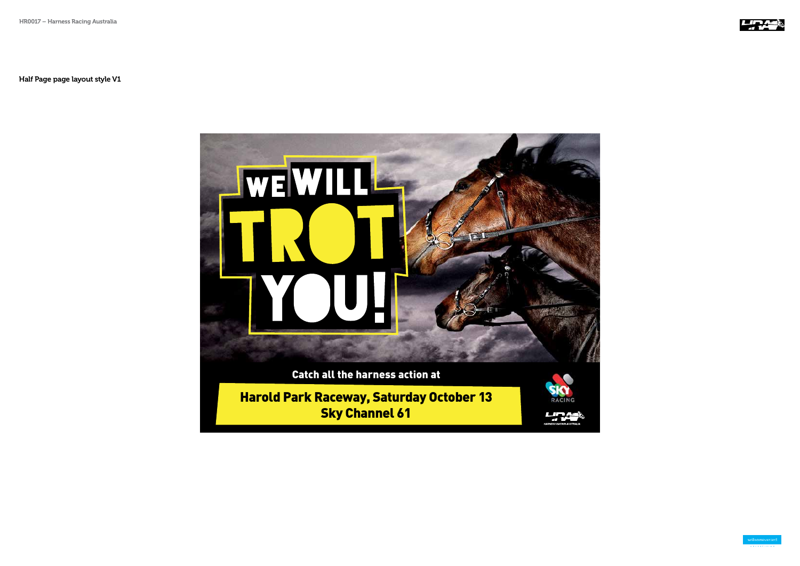



Half Page page layout style V1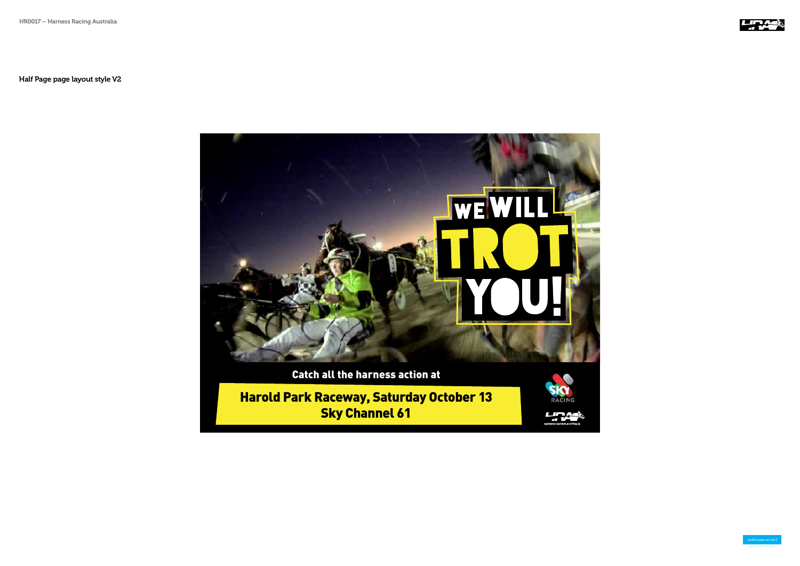Harold Park Raceway, Saturday October 13 Sky Channel 61



**LIRA** 



Half Page page layout style V2

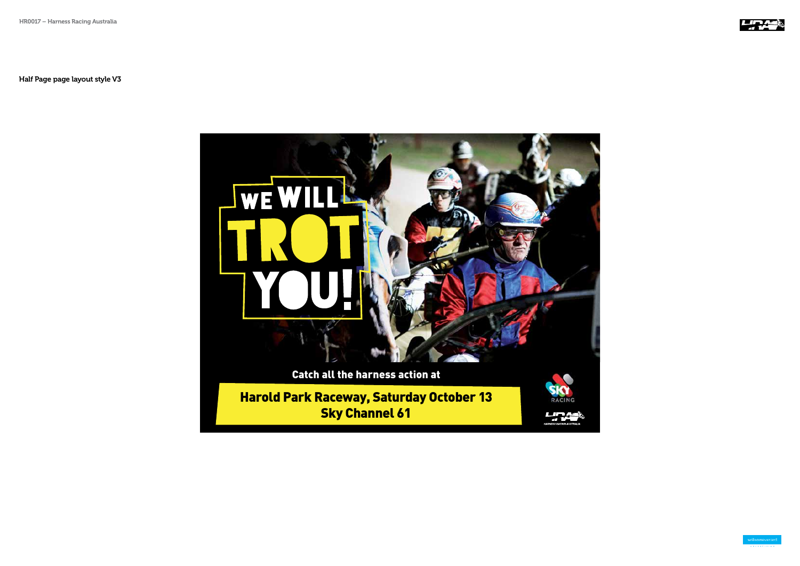



Half Page page layout style V3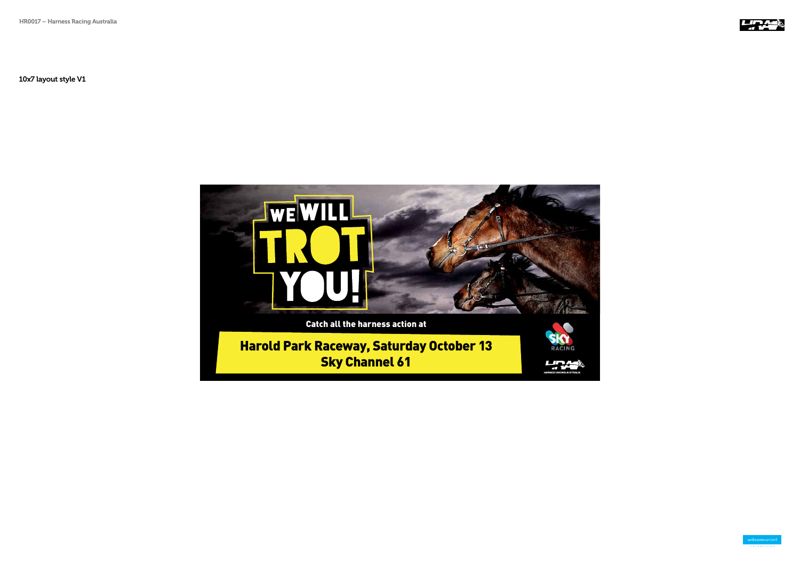



10x7 layout style V1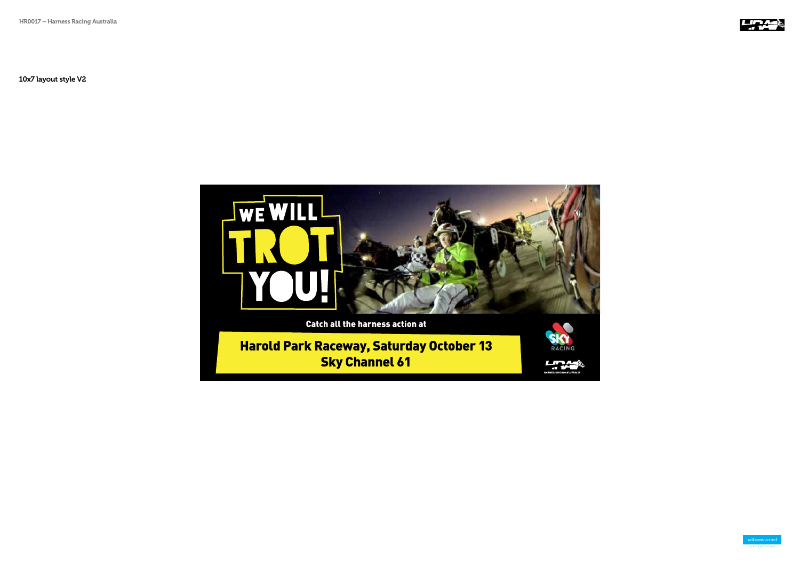



10x7 layout style V2